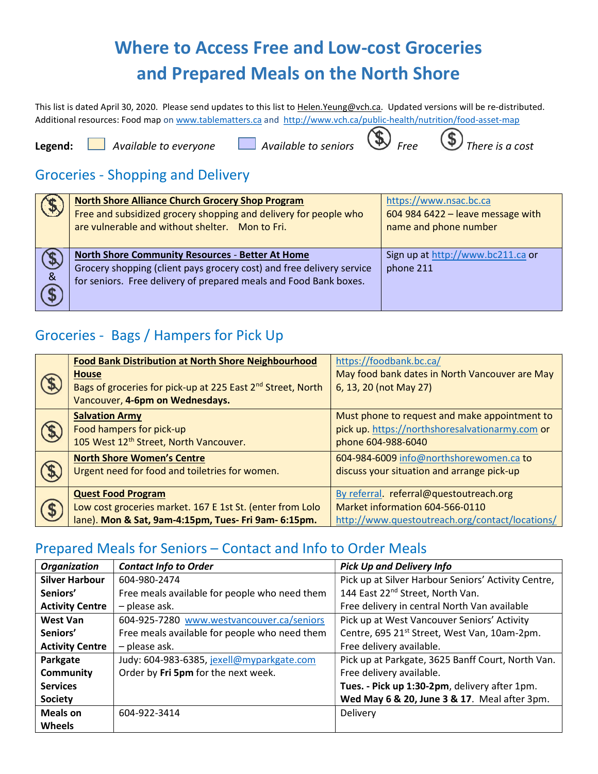# Where to Access Free and Low-cost Groceries and Prepared Meals on the North Shore

This list is dated April 30, 2020. Please send updates to this list to Helen.Yeung@vch.ca. Updated versions will be re-distributed. Additional resources: Food map on www.tablematters.ca and http://www.vch.ca/public-health/nutrition/food-asset-map





#### Groceries - Shopping and Delivery

|                               | <b>North Shore Alliance Church Grocery Shop Program</b><br>Free and subsidized grocery shopping and delivery for people who<br>are vulnerable and without shelter. Mon to Fri.                        | https://www.nsac.bc.ca<br>604 984 6422 – leave message with<br>name and phone number |
|-------------------------------|-------------------------------------------------------------------------------------------------------------------------------------------------------------------------------------------------------|--------------------------------------------------------------------------------------|
| $\frac{4}{8}$<br>$\mathbf{s}$ | <b>North Shore Community Resources - Better At Home</b><br>Grocery shopping (client pays grocery cost) and free delivery service<br>for seniors. Free delivery of prepared meals and Food Bank boxes. | Sign up at http://www.bc211.ca or<br>phone 211                                       |

### Groceries - Bags / Hampers for Pick Up

|              | <b>Food Bank Distribution at North Shore Neighbourhood</b>              | https://foodbank.bc.ca/                         |
|--------------|-------------------------------------------------------------------------|-------------------------------------------------|
|              | <b>House</b>                                                            | May food bank dates in North Vancouver are May  |
|              | Bags of groceries for pick-up at 225 East 2 <sup>nd</sup> Street, North | 6, 13, 20 (not May 27)                          |
|              | Vancouver, 4-6pm on Wednesdays.                                         |                                                 |
|              | <b>Salvation Army</b>                                                   | Must phone to request and make appointment to   |
| $\mathbf{r}$ | Food hampers for pick-up                                                | pick up. https://northshoresalvationarmy.com or |
|              | 105 West 12 <sup>th</sup> Street, North Vancouver.                      | phone 604-988-6040                              |
|              | <b>North Shore Women's Centre</b>                                       | 604-984-6009 info@northshorewomen.ca to         |
|              | Urgent need for food and toiletries for women.                          | discuss your situation and arrange pick-up      |
|              |                                                                         |                                                 |
| $5$          | <b>Quest Food Program</b>                                               | By referral referral@questoutreach.org          |
|              | Low cost groceries market. 167 E 1st St. (enter from Lolo               | Market information 604-566-0110                 |
|              | lane). Mon & Sat, 9am-4:15pm, Tues- Fri 9am- 6:15pm.                    | http://www.questoutreach.org/contact/locations/ |

#### Prepared Meals for Seniors – Contact and Info to Order Meals

| <b>Organization</b>    | <b>Contact Info to Order</b>                  | <b>Pick Up and Delivery Info</b>                         |
|------------------------|-----------------------------------------------|----------------------------------------------------------|
| <b>Silver Harbour</b>  | 604-980-2474                                  | Pick up at Silver Harbour Seniors' Activity Centre,      |
| Seniors'               | Free meals available for people who need them | 144 East 22 <sup>nd</sup> Street, North Van.             |
| <b>Activity Centre</b> | - please ask.                                 | Free delivery in central North Van available             |
| <b>West Van</b>        | 604-925-7280 www.westvancouver.ca/seniors     | Pick up at West Vancouver Seniors' Activity              |
| Seniors'               | Free meals available for people who need them | Centre, 695 21 <sup>st</sup> Street, West Van, 10am-2pm. |
| <b>Activity Centre</b> | - please ask.                                 | Free delivery available.                                 |
| Parkgate               | Judy: 604-983-6385, jexell@myparkgate.com     | Pick up at Parkgate, 3625 Banff Court, North Van.        |
| <b>Community</b>       | Order by Fri 5pm for the next week.           | Free delivery available.                                 |
| <b>Services</b>        |                                               | Tues. - Pick up 1:30-2pm, delivery after 1pm.            |
| <b>Society</b>         |                                               | Wed May 6 & 20, June 3 & 17. Meal after 3pm.             |
| <b>Meals on</b>        | 604-922-3414                                  | Delivery                                                 |
| <b>Wheels</b>          |                                               |                                                          |